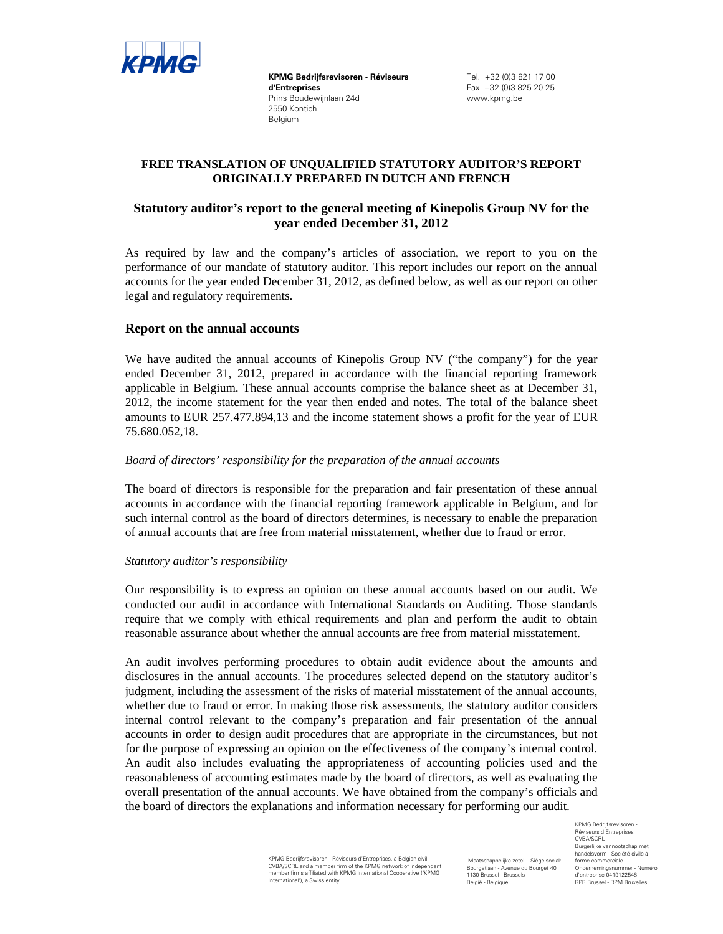

**KPMG Bedrijfsrevisoren - Réviseurs d'Entreprises**  Prins Boudewijnlaan 24d 2550 Kontich Belgium

Tel. +32 (0)3 821 17 00 Fax +32 (0)3 825 20 25 www.kpmg.be

# **FREE TRANSLATION OF UNQUALIFIED STATUTORY AUDITOR'S REPORT ORIGINALLY PREPARED IN DUTCH AND FRENCH**

# **Statutory auditor's report to the general meeting of Kinepolis Group NV for the year ended December 31, 2012**

As required by law and the company's articles of association, we report to you on the performance of our mandate of statutory auditor. This report includes our report on the annual accounts for the year ended December 31, 2012, as defined below, as well as our report on other legal and regulatory requirements.

## **Report on the annual accounts**

We have audited the annual accounts of Kinepolis Group NV ("the company") for the year ended December 31, 2012, prepared in accordance with the financial reporting framework applicable in Belgium. These annual accounts comprise the balance sheet as at December 31, 2012, the income statement for the year then ended and notes. The total of the balance sheet amounts to EUR 257.477.894,13 and the income statement shows a profit for the year of EUR 75.680.052,18.

### *Board of directors' responsibility for the preparation of the annual accounts*

The board of directors is responsible for the preparation and fair presentation of these annual accounts in accordance with the financial reporting framework applicable in Belgium, and for such internal control as the board of directors determines, is necessary to enable the preparation of annual accounts that are free from material misstatement, whether due to fraud or error.

### *Statutory auditor's responsibility*

Our responsibility is to express an opinion on these annual accounts based on our audit. We conducted our audit in accordance with International Standards on Auditing. Those standards require that we comply with ethical requirements and plan and perform the audit to obtain reasonable assurance about whether the annual accounts are free from material misstatement.

An audit involves performing procedures to obtain audit evidence about the amounts and disclosures in the annual accounts. The procedures selected depend on the statutory auditor's judgment, including the assessment of the risks of material misstatement of the annual accounts, whether due to fraud or error. In making those risk assessments, the statutory auditor considers internal control relevant to the company's preparation and fair presentation of the annual accounts in order to design audit procedures that are appropriate in the circumstances, but not for the purpose of expressing an opinion on the effectiveness of the company's internal control. An audit also includes evaluating the appropriateness of accounting policies used and the reasonableness of accounting estimates made by the board of directors, as well as evaluating the overall presentation of the annual accounts. We have obtained from the company's officials and the board of directors the explanations and information necessary for performing our audit.

> KPMG Bedrijfsrevisoren - Réviseurs d'Entreprises, a Belgian civil CVBA/SCRL and a member firm of the KPMG network of independent member firms affiliated with KPMG International Cooperative ("KPMG International"), a Swiss entity.

 Maatschappelijke zetel - Siège social: Bourgetlaan - Avenue du Bourget 40 1130 Brussel - Brussels België - Belgique

KPMG Bedrijfsrevisoren Réviseurs d'Entreprises CVBA/SCRL Burgerlijke vennootschap met handelsvorm - Société civile à forme commerciale Ondernemingsnummer - Numéro d'entreprise 0419122548 RPR Brussel - RPM Bruxelles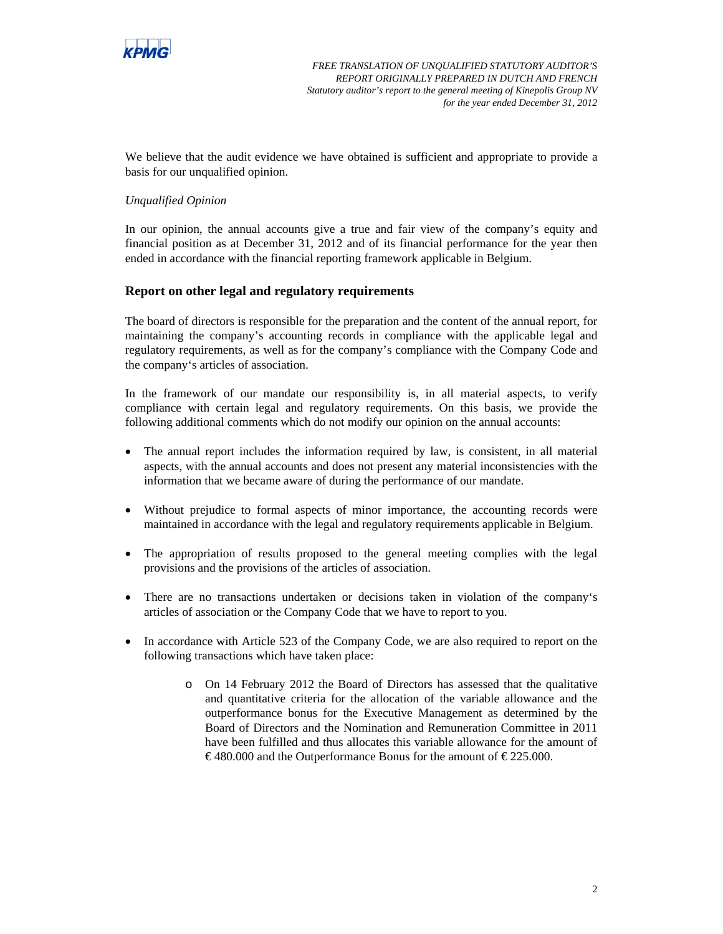

*FREE TRANSLATION OF UNQUALIFIED STATUTORY AUDITOR'S REPORT ORIGINALLY PREPARED IN DUTCH AND FRENCH Statutory auditor's report to the general meeting of Kinepolis Group NV for the year ended December 31, 2012*

We believe that the audit evidence we have obtained is sufficient and appropriate to provide a basis for our unqualified opinion.

### *Unqualified Opinion*

In our opinion, the annual accounts give a true and fair view of the company's equity and financial position as at December 31, 2012 and of its financial performance for the year then ended in accordance with the financial reporting framework applicable in Belgium.

## **Report on other legal and regulatory requirements**

The board of directors is responsible for the preparation and the content of the annual report, for maintaining the company's accounting records in compliance with the applicable legal and regulatory requirements, as well as for the company's compliance with the Company Code and the company's articles of association.

In the framework of our mandate our responsibility is, in all material aspects, to verify compliance with certain legal and regulatory requirements. On this basis, we provide the following additional comments which do not modify our opinion on the annual accounts:

- The annual report includes the information required by law, is consistent, in all material aspects, with the annual accounts and does not present any material inconsistencies with the information that we became aware of during the performance of our mandate.
- Without prejudice to formal aspects of minor importance, the accounting records were maintained in accordance with the legal and regulatory requirements applicable in Belgium.
- The appropriation of results proposed to the general meeting complies with the legal provisions and the provisions of the articles of association.
- There are no transactions undertaken or decisions taken in violation of the company's articles of association or the Company Code that we have to report to you.
- In accordance with Article 523 of the Company Code, we are also required to report on the following transactions which have taken place:
	- o On 14 February 2012 the Board of Directors has assessed that the qualitative and quantitative criteria for the allocation of the variable allowance and the outperformance bonus for the Executive Management as determined by the Board of Directors and the Nomination and Remuneration Committee in 2011 have been fulfilled and thus allocates this variable allowance for the amount of €480.000 and the Outperformance Bonus for the amount of €225.000.